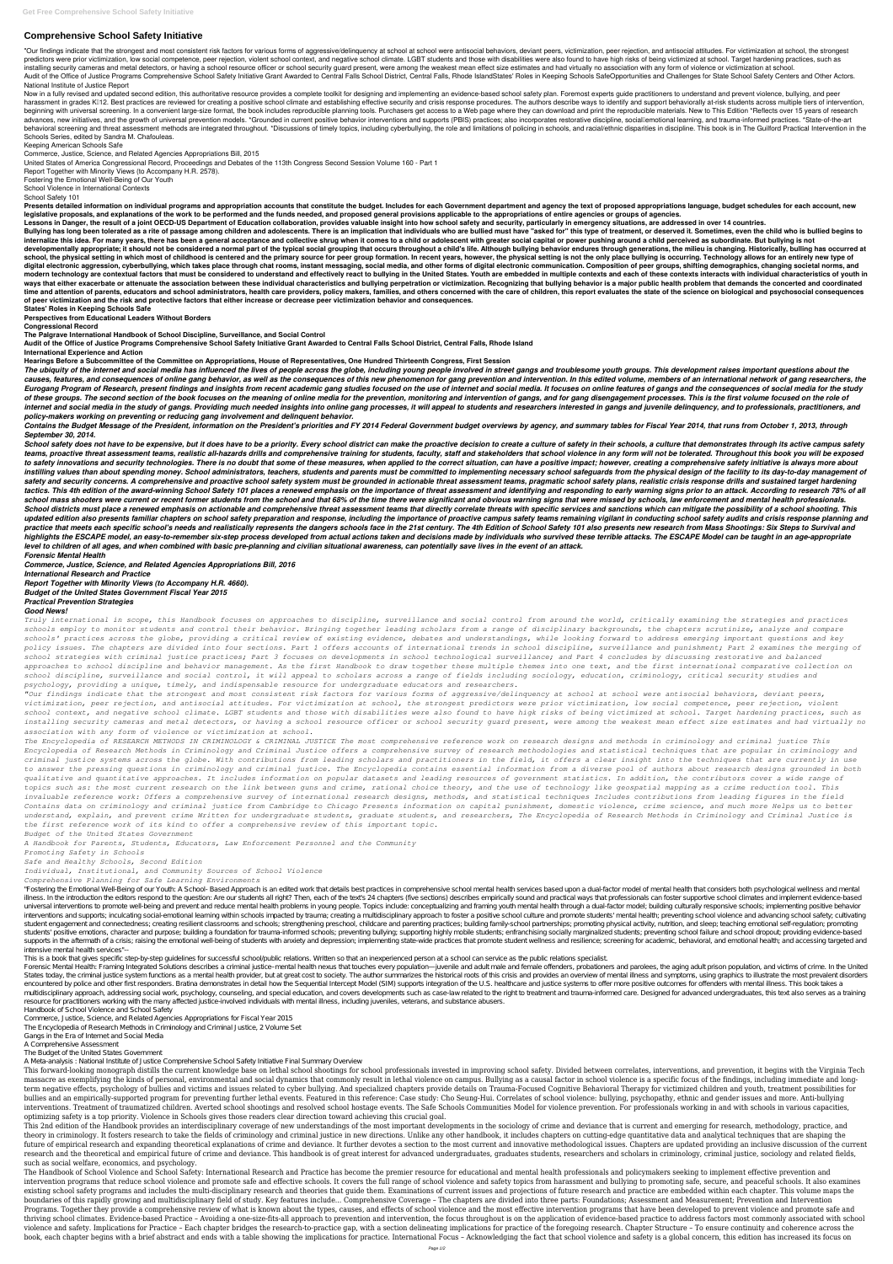## **Comprehensive School Safety Initiative**

"Our findings indicate that the strongest and most consistent risk factors for various forms of aggressive/delinquency at school at school were antisocial behaviors, deviant peers, victimization, peer rejection, and antiso predictors were prior victimization, low social competence, peer rejection, violent school context, and negative school climate. LGBT students and those with disabilities were also found to have high risks of being victimi installing security cameras and metal detectors, or having a school resource officer or school security quard present, were among the weakest mean effect size estimates and had virtually no association with any form of vio Audit of the Office of Justice Programs Comprehensive School Safety Initiative Grant Awarded to Central Falls School District, Central Falls, Rhode IslandStates' Roles in Keeping Schools SafeOpportunities and Challenges fo National Institute of Justice Report

Now in a fully revised and updated second edition, this authoritative resource provides a complete toolkit for designing and implementing an evidence-based school safety plan. Foremost experts quide practitioners to unders harassment in grades KI12. Best practices are reviewed for creating a positive school climate and establishing effective security and crisis response procedures. The authors describe ways to identify and support behavioral beginning with universal screening. In a convenient large-size format, the book includes reproducible planning tools. Purchasers get access to a Web page where they can download and print the reproducible materials. New to advances, new initiatives, and the growth of universal prevention models. \*Grounded in current positive behavior interventions and supports (PBIS) practices; also incorporates restorative discipline, sociallemotional learn behavioral screening and threat assessment methods are integrated throughout. \*Discussions of timely topics, including cyberbullying, the role and limitations of policing in schools, and racial/ethnic disparities in discip Schools Series, edited by Sandra M. Chafouleas.

Presents detailed information on individual programs and appropriation accounts that constitute the budget. Includes for each Government department and agency the text of proposed appropriations language, budget schedules **legislative proposals, and explanations of the work to be performed and the funds needed, and proposed general provisions applicable to the appropriations of entire agencies or groups of agencies.**

Lessons in Danger, the result of a joint OECD-US Department of Education collaboration, provides valuable insight into how school safety and security, particularly in emergency situations, are addressed in over 14 countrie

Keeping American Schools Safe

Commerce, Justice, Science, and Related Agencies Appropriations Bill, 2015

United States of America Congressional Record, Proceedings and Debates of the 113th Congress Second Session Volume 160 - Part 1

Report Together with Minority Views (to Accompany H.R. 2578).

Bullying has long been tolerated as a rite of passage among children and adolescents. There is an implication that individuals who are bullied must have "asked for" this type of treatment, or deserved it. Sometimes, even t internalize this idea. For many years, there has been a general acceptance and collective shrug when it comes to a child or adolescent with greater social capital or power pushing around a child perceived as subordinate. B developmentally appropriate; it should not be considered a normal part of the typical social grouping that occurs throughout a child's life. Although bullying behavior endures through generations, the milieu is changing. H school, the physical setting in which most of childhood is centered and the primary source for peer group formation. In recent years, however, the physical setting is not the only place bullying is occurring. Technology al digital electronic aggression, cyberbullying, which takes place through chat rooms, instant messaging, social media, and other forms of digital electronic communication. Composition of peer groups, shifting demographics, c modern technology are contextual factors that must be considered to understand and effectively react to bullying in the United States. Youth are embedded in multiple contexts and each of these contexts interacts with indiv ways that either exacerbate or attenuate the association between these individual characteristics and bullying perpetration or victimization. Recognizing that bullying behavior is a major public health problem that demands time and attention of parents, educators and school administrators, health care providers, policy makers, families, and others concerned with the care of children, this report evaluates the state of the science on biologic **of peer victimization and the risk and protective factors that either increase or decrease peer victimization behavior and consequences.**

Fostering the Emotional Well-Being of Our Youth

School Violence in International Contexts

School Safety 101

The ubiquity of the internet and social media has influenced the lives of people across the globe, including young people involved in street gangs and troublesome youth groups. This development raises important questions a causes, features, and consequences of online gang behavior, as well as the consequences of this new phenomenon for gang prevention and intervention. In this edited volume, members of an international network of gang resear Eurogang Program of Research, present findings and insights from recent academic gang studies focused on the use of internet and social media. It focuses on online features of gangs and the consequences of social media for of these groups. The second section of the book focuses on the meaning of online media for the prevention, monitoring and intervention of gangs, and for gang disengagement processes. This is the first volume focused on the internet and social media in the study of gangs. Providing much needed insights into online gang processes, it will appeal to students and researchers interested in gangs and juvenile delinquency, and to professionals, pra *policy-makers working on preventing or reducing gang involvement and delinquent behavior.*

Contains the Budget Message of the President, information on the President's priorities and FY 2014 Federal Government budget overviews by agency, and summary tables for Fiscal Year 2014, that runs from October 1, 2013, th *September 30, 2014.*

School safety does not have to be expensive, but it does have to be a priority. Every school district can make the proactive decision to create a culture of safety in their schools, a culture that demonstrates through its teams, proactive threat assessment teams, realistic all-hazards drills and comprehensive training for students, faculty, staff and stakeholders that school violence in any form will not be tolerated. Throughout this book y to safety innovations and security technologies. There is no doubt that some of these measures, when applied to the correct situation, can have a positive impact; however, creating a comprehensive safety initiative is alwa instilling values than about spending money. School administrators, teachers, students and parents must be committed to implementing necessary school safeguards from the physical design of the facility to its day-to-day ma safety and security concerns. A comprehensive and proactive school safety system must be grounded in actionable threat assessment teams, pragmatic school safety plans, realistic crisis response drills and sustained target tactics. This 4th edition of the award-winning School Safety 101 places a renewed emphasis on the importance of threat assessment and identifying and responding to early warning signs prior to an attack. According to resea school mass shooters were current or recent former students from the school and that 68% of the time there were significant and obvious warning signs that were missed by schools, law enforcement and mental health professio School districts must place a renewed emphasis on actionable and comprehensive threat assessment teams that directly correlate threats with specific services and sanctions which can mitigate the possibility of a school sho updated edition also presents familiar chapters on school safety preparation and response, including the importance of proactive campus safety teams remaining vigilant in conducting school safety audits and crisis response practice that meets each specific school's needs and realistically represents the dangers schools face in the 21st century. The 4th Edition of School Safety 101 also presents new research from Mass Shootings: Six Steps to highlights the ESCAPE model, an easy-to-remember six-step process developed from actual actions taken and decisions made by individuals who survived these terrible attacks. The ESCAPE Model can be taught in an age-appropri *level to children of all ages, and when combined with basic pre-planning and civilian situational awareness, can potentially save lives in the event of an attack. Forensic Mental Health*

**States' Roles in Keeping Schools Safe**

**Perspectives from Educational Leaders Without Borders**

**Congressional Record**

**The Palgrave International Handbook of School Discipline, Surveillance, and Social Control**

**Audit of the Office of Justice Programs Comprehensive School Safety Initiative Grant Awarded to Central Falls School District, Central Falls, Rhode Island**

**International Experience and Action**

**Hearings Before a Subcommittee of the Committee on Appropriations, House of Representatives, One Hundred Thirteenth Congress, First Session**

"Fostering the Emotional Well-Being of our Youth: A School- Based Approach is an edited work that details best practices in comprehensive school mental health services based upon a dual-factor model of mental health that c illness. In the introduction the editors respond to the question: Are our students all right? Then, each of the text's 24 chapters (five sections) describes empirically sound and practical ways that professionals can foste universal interventions to promote well-being and prevent and reduce mental health problems in young people. Topics include: conceptualizing and framing youth mental health through a dual-factor model; building culturally interventions and supports; inculcating social-emotional learning within schools impacted by trauma; creating a multidisciplinary approach to foster a positive school culture and promote students' mental health; preventing student engagement and connectedness; creating resilient classrooms and schools; strengthening preschool, childcare and parenting practices; building family-school partnerships; promoting physical activity, nutrition, and students' positive emotions, character and purpose; building a foundation for trauma-informed schools; preventing bullying; supporting highly mobile students; enfranchising socially marginalized students; preventing school supports in the aftermath of a crisis; raising the emotional well-being of students with anxiety and depression; implementing state-wide practices that promote student wellness and resilience; screening for academic, behav intensive mental health services"--

Forensic Mental Health: Framing Integrated Solutions describes a criminal justice-mental health nexus that touches every population—juvenile and adult male and female offenders, probationers and parolees, the aging adult p States today, the criminal justice system functions as a mental health provider, but at great cost to society. The author summarizes the historical roots of this crisis and provides an overview of mental illness and sympto encountered by police and other first responders. Bratina demonstrates in detail how the Sequential Intercept Model (SIM) supports integration of the U.S. healthcare and justice systems to offer more positive outcomes for multidisciplinary approach, addressing social work, psychology, counseling, and special education, and covers developments such as case-law related to the right to treatment and trauma-informed care. Designed for advanced resource for practitioners working with the many affected justice-involved individuals with mental illness, including juveniles, veterans, and substance abusers.

This forward-looking monograph distills the current knowledge base on lethal school shootings for school professionals invested in improving school safety. Divided between correlates, interventions, and prevention, it begi massacre as exemplifying the kinds of personal, environmental and social dynamics that commonly result in lethal violence on campus. Bullying as a causal factor in school violence is a specific focus of the findings, inclu term negative effects, psychology of bullies and victims and issues related to cyber bullying. And specialized chapters provide details on Trauma-Focused Cognitive Behavioral Therapy for victimized children and youth, trea bullies and an empirically-supported program for preventing further lethal events. Featured in this reference: Case study: Cho Seung-Hui. Correlates of school violence: bullying, psychopathy, ethnic and gender issues and m interventions. Treatment of traumatized children. Averted school shootings and resolved school hostage events. The Safe Schools Communities Model for violence prevention. For professionals working in and with schools in va optimizing safety is a top priority. Violence in Schools gives those readers clear direction toward achieving this crucial goal.

This 2nd edition of the Handbook provides an interdisciplinary coverage of new understandings of the most important developments in the sociology of crime and deviance that is current and emerging for research, methodology theory in criminology. It fosters research to take the fields of criminology and criminal justice in new directions. Unlike any other handbook, it includes chapters on cutting-edge quantitative data and analytical techniqu future of empirical research and expanding theoretical explanations of crime and deviance. It further devotes a section to the most current and innovative methodological issues. Chapters are updated providing an inclusive research and the theoretical and empirical future of crime and deviance. This handbook is of great interest for advanced undergraduates, graduates students, researchers and scholars in criminology, criminal justice, sociol such as social welfare, economics, and psychology.

The Handbook of School Violence and School Safety: International Research and Practice has become the premier resource for educational and mental health professionals and policymakers seeking to implement effective prevent intervention programs that reduce school violence and promote safe and effective schools. It covers the full range of school violence and safety topics from harassment and bullying to promoting safe, secure, and peaceful s existing school safety programs and includes the multi-disciplinary research and theories that quide them. Examinations of current issues and projections of future research and practice are embedded within each chapter. Th boundaries of this rapidly growing and multidisciplinary field of study. Key features include... Comprehensive Coverage - The chapters are divided into three parts: Foundations; Assessment and Measurement; Prevention and I Programs. Together they provide a comprehensive review of what is known about the types, causes, and effects of school violence and the most effective intervention programs that have been developed to prevent violence and thriving school climates. Evidence-based Practice - Avoiding a one-size-fits-all approach to prevention and intervention, the focus throughout is on the application of evidence-based practice to address factors most common violence and safety. Implications for Practice - Each chapter bridges the research-to-practice gap, with a section delineating implications for practice of the foregoing research. Chapter Structure - To ensure continuity a book, each chapter begins with a brief abstract and ends with a table showing the implications for practice. International Focus - Acknowledging the fact that school violence and safety is a global concern, this edition ha

*Commerce, Justice, Science, and Related Agencies Appropriations Bill, 2016 International Research and Practice Report Together with Minority Views (to Accompany H.R. 4660). Budget of the United States Government Fiscal Year 2015 Practical Prevention Strategies*

## *Good News!*

*Truly international in scope, this Handbook focuses on approaches to discipline, surveillance and social control from around the world, critically examining the strategies and practices schools employ to monitor students and control their behavior. Bringing together leading scholars from a range of disciplinary backgrounds, the chapters scrutinize, analyze and compare schools' practices across the globe, providing a critical review of existing evidence, debates and understandings, while looking forward to address emerging important questions and key policy issues. The chapters are divided into four sections. Part 1 offers accounts of international trends in school discipline, surveillance and punishment; Part 2 examines the merging of school strategies with criminal justice practices; Part 3 focuses on developments in school technological surveillance; and Part 4 concludes by discussing restorative and balanced approaches to school discipline and behavior management. As the first Handbook to draw together these multiple themes into one text, and the first international comparative collection on school discipline, surveillance and social control, it will appeal to scholars across a range of fields including sociology, education, criminology, critical security studies and psychology, providing a unique, timely, and indispensable resource for undergraduate educators and researchers.*

*"Our findings indicate that the strongest and most consistent risk factors for various forms of aggressive/delinquency at school at school were antisocial behaviors, deviant peers, victimization, peer rejection, and antisocial attitudes. For victimization at school, the strongest predictors were prior victimization, low social competence, peer rejection, violent school context, and negative school climate. LGBT students and those with disabilities were also found to have higk risks of being victimized at school. Target hardening practices, such as installing security cameras and metal detectors, or having a school resource officer or school security guard present, were among the weakest mean effect size estimates and had virtually no association with any form of violence or victimization at school.*

*The Encyclopedia of RESEARCH METHODS IN CRIMINOLOGY & CRIMINAL JUSTICE The most comprehensive reference work on research designs and methods in criminology and criminal justice This Encyclopedia of Research Methods in Criminology and Criminal Justice offers a comprehensive survey of research methodologies and statistical techniques that are popular in criminology and criminal justice systems across the globe. With contributions from leading scholars and practitioners in the field, it offers a clear insight into the techniques that are currently in use to answer the pressing questions in criminology and criminal justice. The Encyclopedia contains essential information from a diverse pool of authors about research designs grounded in both qualitative and quantitative approaches. It includes information on popular datasets and leading resources of government statistics. In addition, the contributors cover a wide range of topics such as: the most current research on the link between guns and crime, rational choice theory, and the use of technology like geospatial mapping as a crime reduction tool. This invaluable reference work: Offers a comprehensive survey of international research designs, methods, and statistical techniques Includes contributions from leading figures in the field Contains data on criminology and criminal justice from Cambridge to Chicago Presents information on capital punishment, domestic violence, crime science, and much more Helps us to better understand, explain, and prevent crime Written for undergraduate students, graduate students, and researchers, The Encyclopedia of Research Methods in Criminology and Criminal Justice is the first reference work of its kind to offer a comprehensive review of this important topic.*

*Budget of the United States Government*

*A Handbook for Parents, Students, Educators, Law Enforcement Personnel and the Community*

*Promoting Safety in Schools*

*Safe and Healthy Schools, Second Edition*

*Individual, Institutional, and Community Sources of School Violence*

## *Comprehensive Planning for Safe Learning Environments*

This is a book that gives specific step-by-step guidelines for successful school/public relations. Written so that an inexperienced person at a school can service as the public relations specialist.

Handbook of School Violence and School Safety

Commerce, Justice, Science, and Related Agencies Appropriations for Fiscal Year 2015

The Encyclopedia of Research Methods in Criminology and Criminal Justice, 2 Volume Set

Gangs in the Era of Internet and Social Media

A Comprehensive Assessment

The Budget of the United States Government

A Meta-analysis : National Institute of Justice Comprehensive School Safety Initiative Final Summary Overview